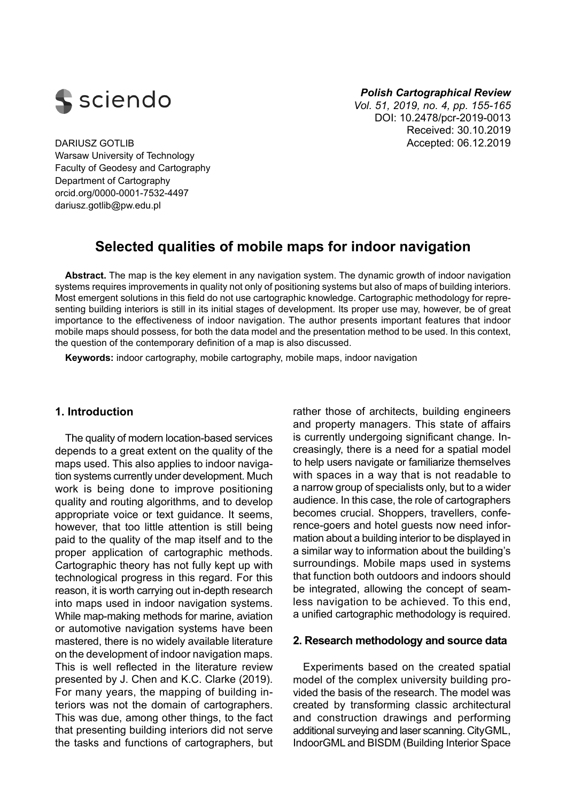

#### *Polish Cartographical Review*

*Vol. 51, 2019, no. 4, pp. 155-165*  DOI: 10.2478/pcr-2019-0013 Received: 30.10.2019 DARIUSZ GOTLIB **Accepted: 06.12.2019** Accepted: 06.12.2019

Warsaw University of Technology Faculty of Geodesy and Cartography Department of Cartography orcid.org/0000-0001-7532-4497 [dariusz.gotlib@pw.edu.pl](mailto:dariusz.gotlib@pw.edu.pl)

# **Selected qualities of mobile maps for indoor navigation**

**Abstract.** The map is the key element in any navigation system. The dynamic growth of indoor navigation systems requires improvements in quality not only of positioning systems but also of maps of building interiors. Most emergent solutions in this field do not use cartographic knowledge. Cartographic methodology for representing building interiors is still in its initial stages of development. Its proper use may, however, be of great importance to the effectiveness of indoor navigation. The author presents important features that indoor mobile maps should possess, for both the data model and the presentation method to be used. In this context, the question of the contemporary definition of a map is also discussed.

**Keywords:** indoor cartography, mobile cartography, mobile maps, indoor navigation

# **1. Introduction**

The quality of modern location-based services depends to a great extent on the quality of the maps used. This also applies to indoor navigation systems currently under development. Much work is being done to improve positioning quality and routing algorithms, and to develop appropriate voice or text guidance. It seems, however, that too little attention is still being paid to the quality of the map itself and to the proper application of cartographic methods. Cartographic theory has not fully kept up with technological progress in this regard. For this reason, it is worth carrying out in-depth research into maps used in indoor navigation systems. While map-making methods for marine, aviation or automotive navigation systems have been mastered, there is no widely available literature on the development of indoor navigation maps. This is well reflected in the literature review presented by J. Chen and K.C. Clarke (2019). For many years, the mapping of building interiors was not the domain of cartographers. This was due, among other things, to the fact that presenting building interiors did not serve the tasks and functions of cartographers, but rather those of architects, building engineers and property managers. This state of affairs is currently undergoing significant change. Increasingly, there is a need for a spatial model to help users navigate or familiarize themselves with spaces in a way that is not readable to a narrow group of specialists only, but to a wider audience. In this case, the role of cartographers becomes crucial. Shoppers, travellers, conference-goers and hotel guests now need information about a building interior to be displayed in a similar way to information about the building's surroundings. Mobile maps used in systems that function both outdoors and indoors should be integrated, allowing the concept of seamless navigation to be achieved. To this end, a unified cartographic methodology is required.

# **2. Research methodology and source data**

Experiments based on the created spatial model of the complex university building provided the basis of the research. The model was created by transforming classic architectural and construction drawings and performing additional surveying and laser scanning. CityGML, IndoorGML and BISDM (Building Interior Space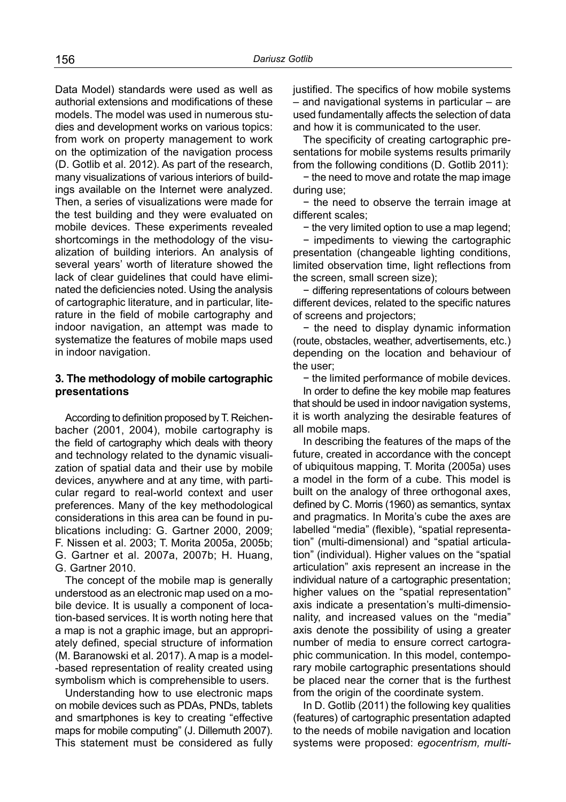Data Model) standards were used as well as authorial extensions and modifications of these models. The model was used in numerous studies and development works on various topics: from work on property management to work on the optimization of the navigation process (D. Gotlib et al. 2012). As part of the research, many visualizations of various interiors of buildings available on the Internet were analyzed. Then, a series of visualizations were made for the test building and they were evaluated on mobile devices. These experiments revealed shortcomings in the methodology of the visualization of building interiors. An analysis of several years' worth of literature showed the lack of clear guidelines that could have eliminated the deficiencies noted. Using the analysis of cartographic literature, and in particular, literature in the field of mobile cartography and indoor navigation, an attempt was made to systematize the features of mobile maps used in indoor navigation.

# **3. The methodology of mobile cartographic presentations**

According to definition proposed by T. Reichenbacher (2001, 2004), mobile cartography is the field of cartography which deals with theory and technology related to the dynamic visualization of spatial data and their use by mobile devices, anywhere and at any time, with particular regard to real-world context and user preferences. Many of the key methodological considerations in this area can be found in publications including: G. Gartner 2000, 2009; F. Nissen et al. 2003; T. Morita 2005a, 2005b; G. Gartner et al. 2007a, 2007b; H. Huang, G. Gartner 2010.

The concept of the mobile map is generally understood as an electronic map used on a mobile device. It is usually a component of location-based services. It is worth noting here that a map is not a graphic image, but an appropriately defined, special structure of information (M. Baranowski et al. 2017). A map is a model- -based representation of reality created using symbolism which is comprehensible to users.

Understanding how to use electronic maps on mobile devices such as PDAs, PNDs, tablets and smartphones is key to creating "effective maps for mobile computing" (J. Dillemuth 2007). This statement must be considered as fully justified. The specifics of how mobile systems – and navigational systems in particular – are used fundamentally affects the selection of data and how it is communicated to the user.

The specificity of creating cartographic presentations for mobile systems results primarily from the following conditions (D. Gotlib 2011):

− the need to move and rotate the map image during use;

− the need to observe the terrain image at different scales;

− the very limited option to use a map legend;

− impediments to viewing the cartographic presentation (changeable lighting conditions, limited observation time, light reflections from the screen, small screen size);

− differing representations of colours between different devices, related to the specific natures of screens and projectors;

− the need to display dynamic information (route, obstacles, weather, advertisements, etc.) depending on the location and behaviour of the user;

− the limited performance of mobile devices.

In order to define the key mobile map features that should be used in indoor navigation systems, it is worth analyzing the desirable features of all mobile maps.

In describing the features of the maps of the future, created in accordance with the concept of ubiquitous mapping, T. Morita (2005a) uses a model in the form of a cube. This model is built on the analogy of three orthogonal axes, defined by C. Morris (1960) as semantics, syntax and pragmatics. In Morita's cube the axes are labelled "media" (flexible), "spatial representation" (multi-dimensional) and "spatial articulation" (individual). Higher values on the "spatial articulation" axis represent an increase in the individual nature of a cartographic presentation; higher values on the "spatial representation" axis indicate a presentation's multi-dimensionality, and increased values on the "media" axis denote the possibility of using a greater number of media to ensure correct cartographic communication. In this model, contemporary mobile cartographic presentations should be placed near the corner that is the furthest from the origin of the coordinate system.

In D. Gotlib (2011) the following key qualities (features) of cartographic presentation adapted to the needs of mobile navigation and location systems were proposed: *egocentrism, multi-*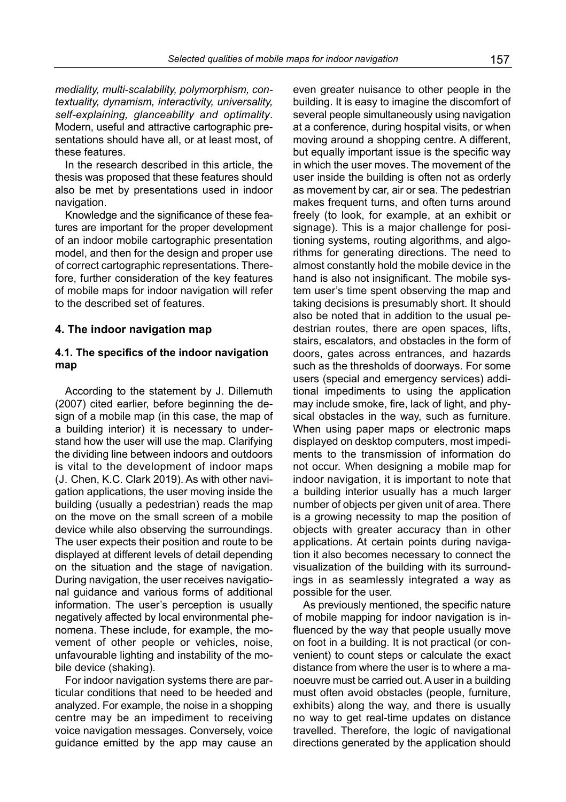*mediality, multi-scalability, polymorphism, contextuality, dynamism, interactivity, universality, self-explaining, glanceability and optimality*. Modern, useful and attractive cartographic presentations should have all, or at least most, of these features.

In the research described in this article, the thesis was proposed that these features should also be met by presentations used in indoor navigation.

Knowledge and the significance of these features are important for the proper development of an indoor mobile cartographic presentation model, and then for the design and proper use of correct cartographic representations. Therefore, further consideration of the key features of mobile maps for indoor navigation will refer to the described set of features.

#### **4. The indoor navigation map**

### **4.1. The specifics of the indoor navigation map**

According to the statement by J. Dillemuth (2007) cited earlier, before beginning the design of a mobile map (in this case, the map of a building interior) it is necessary to understand how the user will use the map. Clarifying the dividing line between indoors and outdoors is vital to the development of indoor maps (J. Chen, K.C. Clark 2019). As with other navigation applications, the user moving inside the building (usually a pedestrian) reads the map on the move on the small screen of a mobile device while also observing the surroundings. The user expects their position and route to be displayed at different levels of detail depending on the situation and the stage of navigation. During navigation, the user receives navigational guidance and various forms of additional information. The user's perception is usually negatively affected by local environmental phenomena. These include, for example, the movement of other people or vehicles, noise, unfavourable lighting and instability of the mobile device (shaking).

For indoor navigation systems there are particular conditions that need to be heeded and analyzed. For example, the noise in a shopping centre may be an impediment to receiving voice navigation messages. Conversely, voice guidance emitted by the app may cause an

even greater nuisance to other people in the building. It is easy to imagine the discomfort of several people simultaneously using navigation at a conference, during hospital visits, or when moving around a shopping centre. A different, but equally important issue is the specific way in which the user moves. The movement of the user inside the building is often not as orderly as movement by car, air or sea. The pedestrian makes frequent turns, and often turns around freely (to look, for example, at an exhibit or signage). This is a major challenge for positioning systems, routing algorithms, and algorithms for generating directions. The need to almost constantly hold the mobile device in the hand is also not insignificant. The mobile system user's time spent observing the map and taking decisions is presumably short. It should also be noted that in addition to the usual pedestrian routes, there are open spaces, lifts, stairs, escalators, and obstacles in the form of doors, gates across entrances, and hazards such as the thresholds of doorways. For some users (special and emergency services) additional impediments to using the application may include smoke, fire, lack of light, and physical obstacles in the way, such as furniture. When using paper maps or electronic maps displayed on desktop computers, most impediments to the transmission of information do not occur. When designing a mobile map for indoor navigation, it is important to note that a building interior usually has a much larger number of objects per given unit of area. There is a growing necessity to map the position of objects with greater accuracy than in other applications. At certain points during navigation it also becomes necessary to connect the visualization of the building with its surroundings in as seamlessly integrated a way as possible for the user.

As previously mentioned, the specific nature of mobile mapping for indoor navigation is influenced by the way that people usually move on foot in a building. It is not practical (or convenient) to count steps or calculate the exact distance from where the user is to where a manoeuvre must be carried out. A user in a building must often avoid obstacles (people, furniture, exhibits) along the way, and there is usually no way to get real-time updates on distance travelled. Therefore, the logic of navigational directions generated by the application should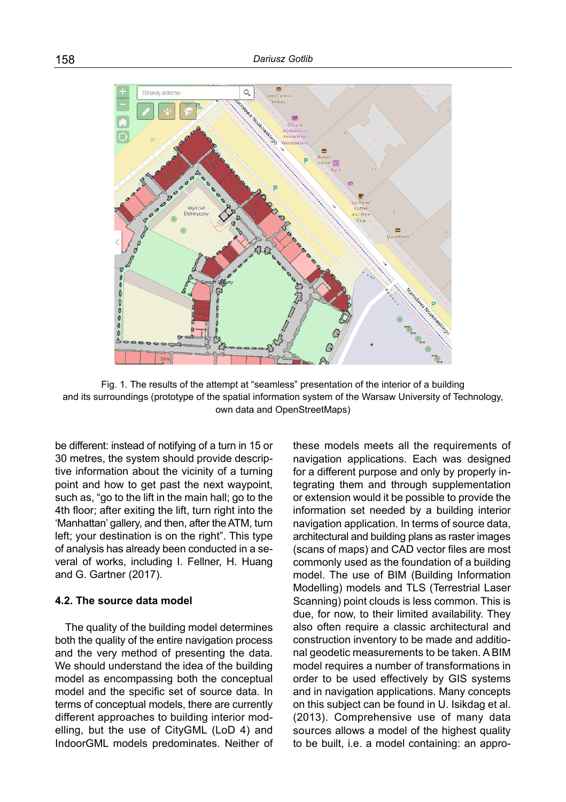

Fig. 1. The results of the attempt at "seamless" presentation of the interior of a building and its surroundings (prototype of the spatial information system of the Warsaw University of Technology, own data and OpenStreetMaps)

be different: instead of notifying of a turn in 15 or 30 metres, the system should provide descriptive information about the vicinity of a turning point and how to get past the next waypoint, such as, "go to the lift in the main hall; go to the 4th floor; after exiting the lift, turn right into the 'Manhattan' gallery, and then, after the ATM, turn left; your destination is on the right". This type of analysis has already been conducted in a several of works, including I. Fellner, H. Huang and G. Gartner (2017).

# **4.2. The source data model**

The quality of the building model determines both the quality of the entire navigation process and the very method of presenting the data. We should understand the idea of the building model as encompassing both the conceptual model and the specific set of source data. In terms of conceptual models, there are currently different approaches to building interior modelling, but the use of CityGML (LoD 4) and IndoorGML models predominates. Neither of these models meets all the requirements of navigation applications. Each was designed for a different purpose and only by properly integrating them and through supplementation or extension would it be possible to provide the information set needed by a building interior navigation application. In terms of source data, architectural and building plans as raster images (scans of maps) and CAD vector files are most commonly used as the foundation of a building model. The use of BIM (Building Information Modelling) models and TLS (Terrestrial Laser Scanning) point clouds is less common. This is due, for now, to their limited availability. They also often require a classic architectural and construction inventory to be made and additional geodetic measurements to be taken. A BIM model requires a number of transformations in order to be used effectively by GIS systems and in navigation applications. Many concepts on this subject can be found in U. Isikdag et al. (2013). Comprehensive use of many data sources allows a model of the highest quality to be built, i.e. a model containing: an appro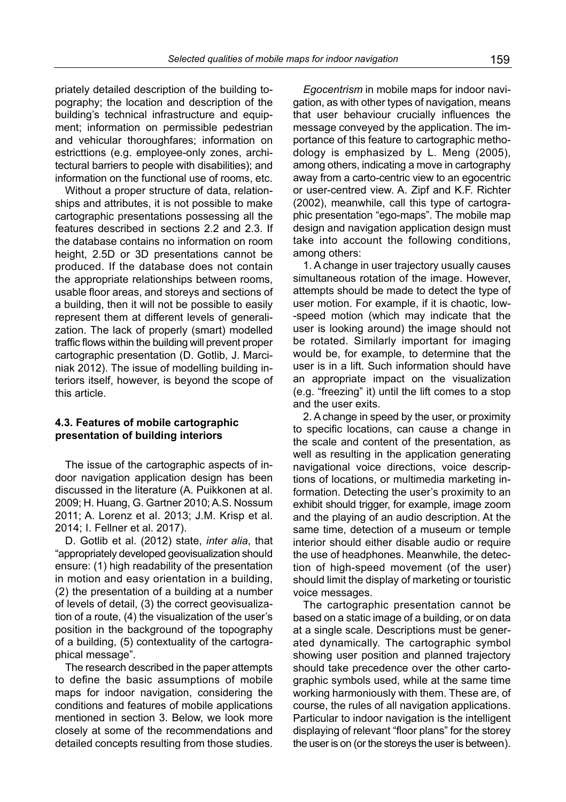priately detailed description of the building topography; the location and description of the building's technical infrastructure and equipment; information on permissible pedestrian and vehicular thoroughfares; information on estricttions (e.g. employee-only zones, architectural barriers to people with disabilities); and information on the functional use of rooms, etc.

Without a proper structure of data, relationships and attributes, it is not possible to make cartographic presentations possessing all the features described in sections 2.2 and 2.3. If the database contains no information on room height, 2.5D or 3D presentations cannot be produced. If the database does not contain the appropriate relationships between rooms, usable floor areas, and storeys and sections of a building, then it will not be possible to easily represent them at different levels of generalization. The lack of properly (smart) modelled traffic flows within the building will prevent proper cartographic presentation (D. Gotlib, J. Marciniak 2012). The issue of modelling building interiors itself, however, is beyond the scope of this article.

#### **4.3. Features of mobile cartographic presentation of building interiors**

The issue of the cartographic aspects of indoor navigation application design has been discussed in the literature (A. Puikkonen at al. 2009; H. Huang, G. Gartner 2010; A.S. Nossum 2011; A. Lorenz et al. 2013; J.M. Krisp et al. 2014; I. Fellner et al. 2017).

D. Gotlib et al. (2012) state, *inter alia*, that "appropriately developed geovisualization should ensure: (1) high readability of the presentation in motion and easy orientation in a building, (2) the presentation of a building at a number of levels of detail, (3) the correct geovisualization of a route, (4) the visualization of the user's position in the background of the topography of a building, (5) contextuality of the cartographical message".

The research described in the paper attempts to define the basic assumptions of mobile maps for indoor navigation, considering the conditions and features of mobile applications mentioned in section 3. Below, we look more closely at some of the recommendations and detailed concepts resulting from those studies.

*Egocentrism* in mobile maps for indoor navigation, as with other types of navigation, means that user behaviour crucially influences the message conveyed by the application. The importance of this feature to cartographic methodology is emphasized by L. Meng (2005), among others, indicating a move in cartography away from a carto-centric view to an egocentric or user-centred view. A. Zipf and K.F. Richter (2002), meanwhile, call this type of cartographic presentation "ego-maps". The mobile map design and navigation application design must take into account the following conditions, among others:

1. A change in user trajectory usually causes simultaneous rotation of the image. However, attempts should be made to detect the type of user motion. For example, if it is chaotic, low- -speed motion (which may indicate that the user is looking around) the image should not be rotated. Similarly important for imaging would be, for example, to determine that the user is in a lift. Such information should have an appropriate impact on the visualization (e.g. "freezing" it) until the lift comes to a stop and the user exits.

2. A change in speed by the user, or proximity to specific locations, can cause a change in the scale and content of the presentation, as well as resulting in the application generating navigational voice directions, voice descriptions of locations, or multimedia marketing information. Detecting the user's proximity to an exhibit should trigger, for example, image zoom and the playing of an audio description. At the same time, detection of a museum or temple interior should either disable audio or require the use of headphones. Meanwhile, the detection of high-speed movement (of the user) should limit the display of marketing or touristic voice messages.

The cartographic presentation cannot be based on a static image of a building, or on data at a single scale. Descriptions must be generated dynamically. The cartographic symbol showing user position and planned trajectory should take precedence over the other cartographic symbols used, while at the same time working harmoniously with them. These are, of course, the rules of all navigation applications. Particular to indoor navigation is the intelligent displaying of relevant "floor plans" for the storey the user is on (or the storeys the user is between).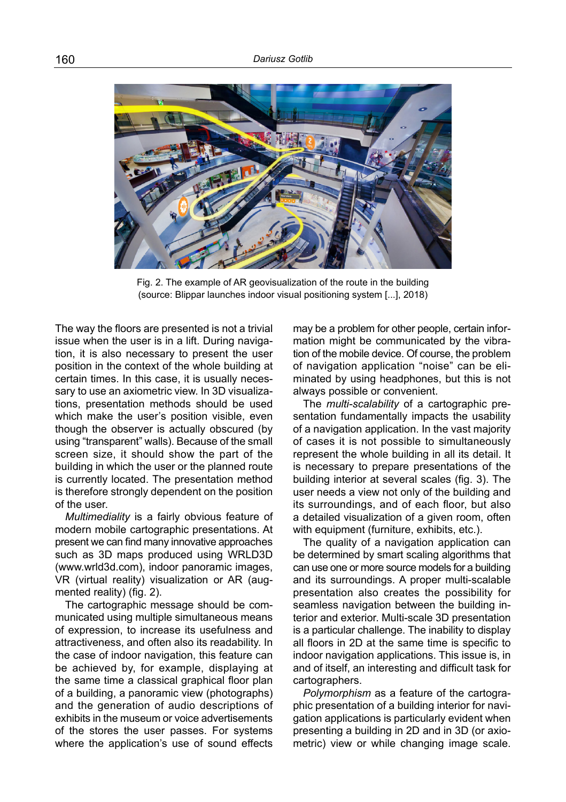

Fig. 2. The example of AR geovisualization of the route in the building (source: Blippar launches indoor visual positioning system [...], 2018)

The way the floors are presented is not a trivial issue when the user is in a lift. During navigation, it is also necessary to present the user position in the context of the whole building at certain times. In this case, it is usually necessary to use an axiometric view. In 3D visualizations, presentation methods should be used which make the user's position visible, even though the observer is actually obscured (by using "transparent" walls). Because of the small screen size, it should show the part of the building in which the user or the planned route is currently located. The presentation method is therefore strongly dependent on the position of the user.

*Multimediality* is a fairly obvious feature of modern mobile cartographic presentations. At present we can find many innovative approaches such as 3D maps produced using WRLD3D (www.wrld3d.com), indoor panoramic images, VR (virtual reality) visualization or AR (augmented reality) (fig. 2).

The cartographic message should be communicated using multiple simultaneous means of expression, to increase its usefulness and attractiveness, and often also its readability. In the case of indoor navigation, this feature can be achieved by, for example, displaying at the same time a classical graphical floor plan of a building, a panoramic view (photographs) and the generation of audio descriptions of exhibits in the museum or voice advertisements of the stores the user passes. For systems where the application's use of sound effects

may be a problem for other people, certain information might be communicated by the vibration of the mobile device. Of course, the problem of navigation application "noise" can be eliminated by using headphones, but this is not always possible or convenient.

The *multi-scalability* of a cartographic presentation fundamentally impacts the usability of a navigation application. In the vast majority of cases it is not possible to simultaneously represent the whole building in all its detail. It is necessary to prepare presentations of the building interior at several scales (fig. 3). The user needs a view not only of the building and its surroundings, and of each floor, but also a detailed visualization of a given room, often with equipment (furniture, exhibits, etc.).

The quality of a navigation application can be determined by smart scaling algorithms that can use one or more source models for a building and its surroundings. A proper multi-scalable presentation also creates the possibility for seamless navigation between the building interior and exterior. Multi-scale 3D presentation is a particular challenge. The inability to display all floors in 2D at the same time is specific to indoor navigation applications. This issue is, in and of itself, an interesting and difficult task for cartographers.

*Polymorphism* as a feature of the cartographic presentation of a building interior for navigation applications is particularly evident when presenting a building in 2D and in 3D (or axiometric) view or while changing image scale.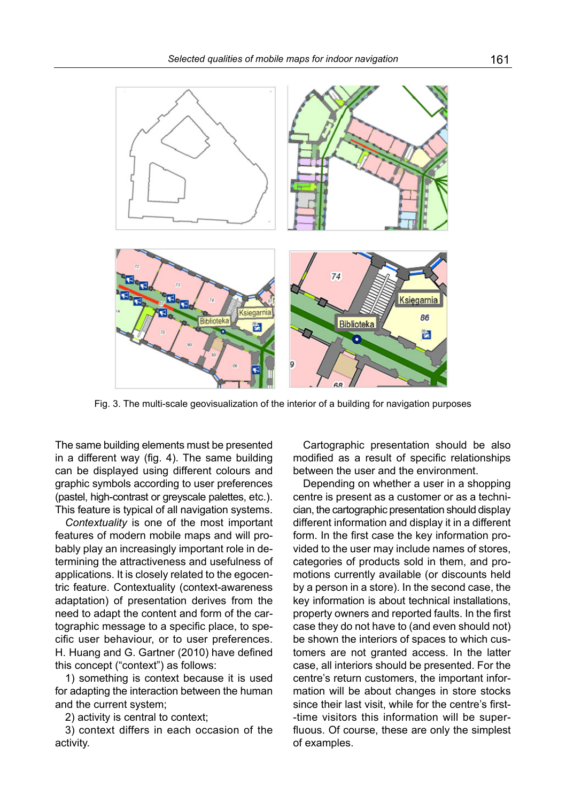

Fig. 3. The multi-scale geovisualization of the interior of a building for navigation purposes

The same building elements must be presented in a different way (fig. 4). The same building can be displayed using different colours and graphic symbols according to user preferences (pastel, high-contrast or greyscale palettes, etc.). This feature is typical of all navigation systems.

*Contextuality* is one of the most important features of modern mobile maps and will probably play an increasingly important role in determining the attractiveness and usefulness of applications. It is closely related to the egocentric feature. Contextuality (context-awareness adaptation) of presentation derives from the need to adapt the content and form of the cartographic message to a specific place, to specific user behaviour, or to user preferences. H. Huang and G. Gartner (2010) have defined this concept ("context") as follows:

1) something is context because it is used for adapting the interaction between the human and the current system;

2) activity is central to context;

3) context differs in each occasion of the activity.

Cartographic presentation should be also modified as a result of specific relationships between the user and the environment.

Depending on whether a user in a shopping centre is present as a customer or as a technician, the cartographic presentation should display different information and display it in a different form. In the first case the key information provided to the user may include names of stores, categories of products sold in them, and promotions currently available (or discounts held by a person in a store). In the second case, the key information is about technical installations, property owners and reported faults. In the first case they do not have to (and even should not) be shown the interiors of spaces to which customers are not granted access. In the latter case, all interiors should be presented. For the centre's return customers, the important information will be about changes in store stocks since their last visit, while for the centre's first- -time visitors this information will be superfluous. Of course, these are only the simplest of examples.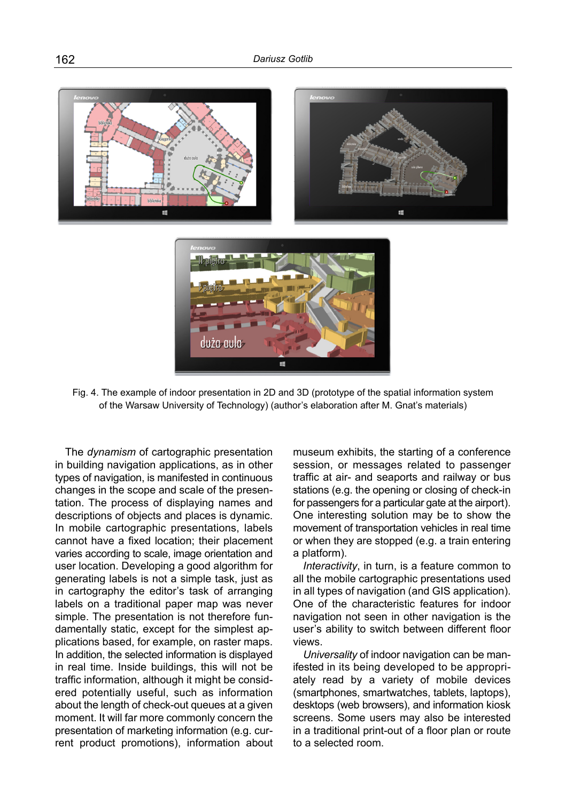

Fig. 4. The example of indoor presentation in 2D and 3D (prototype of the spatial information system of the Warsaw University of Technology) (author's elaboration after M. Gnat's materials)

The *dynamism* of cartographic presentation in building navigation applications, as in other types of navigation, is manifested in continuous changes in the scope and scale of the presentation. The process of displaying names and descriptions of objects and places is dynamic. In mobile cartographic presentations, labels cannot have a fixed location; their placement varies according to scale, image orientation and user location. Developing a good algorithm for generating labels is not a simple task, just as in cartography the editor's task of arranging labels on a traditional paper map was never simple. The presentation is not therefore fundamentally static, except for the simplest applications based, for example, on raster maps. In addition, the selected information is displayed in real time. Inside buildings, this will not be traffic information, although it might be considered potentially useful, such as information about the length of check-out queues at a given moment. It will far more commonly concern the presentation of marketing information (e.g. current product promotions), information about museum exhibits, the starting of a conference session, or messages related to passenger traffic at air- and seaports and railway or bus stations (e.g. the opening or closing of check-in for passengers for a particular gate at the airport). One interesting solution may be to show the movement of transportation vehicles in real time or when they are stopped (e.g. a train entering a platform).

*Interactivity*, in turn, is a feature common to all the mobile cartographic presentations used in all types of navigation (and GIS application). One of the characteristic features for indoor navigation not seen in other navigation is the user's ability to switch between different floor views.

*Universality* of indoor navigation can be manifested in its being developed to be appropriately read by a variety of mobile devices (smartphones, smartwatches, tablets, laptops), desktops (web browsers), and information kiosk screens. Some users may also be interested in a traditional print-out of a floor plan or route to a selected room.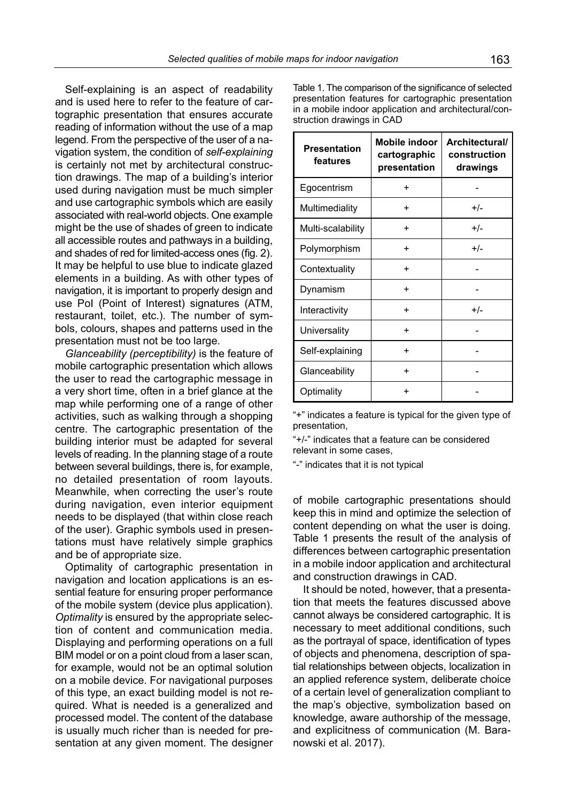Self-explaining is an aspect of readability and is used here to refer to the feature of cartographic presentation that ensures accurate reading of information without the use of a map legend. From the perspective of the user of a navigation system, the condition of *self-explaining* is certainly not met by architectural construction drawings. The map of a building's interior used during navigation must be much simpler and use cartographic symbols which are easily associated with real-world objects. One example might be the use of shades of green to indicate all accessible routes and pathways in a building, and shades of red for limited-access ones (fig. 2). It may be helpful to use blue to indicate glazed elements in a building. As with other types of navigation, it is important to properly design and use PoI (Point of Interest) signatures (ATM, restaurant, toilet, etc.). The number of symbols, colours, shapes and patterns used in the presentation must not be too large.

*Glanceability (perceptibility)* is the feature of mobile cartographic presentation which allows the user to read the cartographic message in a very short time, often in a brief glance at the map while performing one of a range of other activities, such as walking through a shopping centre. The cartographic presentation of the building interior must be adapted for several levels of reading. In the planning stage of a route between several buildings, there is, for example, no detailed presentation of room layouts. Meanwhile, when correcting the user's route during navigation, even interior equipment needs to be displayed (that within close reach of the user). Graphic symbols used in presentations must have relatively simple graphics and be of appropriate size.

Optimality of cartographic presentation in navigation and location applications is an essential feature for ensuring proper performance of the mobile system (device plus application). *Optimality* is ensured by the appropriate selection of content and communication media. Displaying and performing operations on a full BIM model or on a point cloud from a laser scan, for example, would not be an optimal solution on a mobile device. For navigational purposes of this type, an exact building model is not required. What is needed is a generalized and processed model. The content of the database is usually much richer than is needed for presentation at any given moment. The designer

Table 1. The comparison of the significance of selected presentation features for cartographic presentation in a mobile indoor application and architectural/construction drawings in CAD

| <b>Presentation</b><br>features | Mobile indoor<br>cartographic<br>presentation | Architectural/<br>construction<br>drawings |
|---------------------------------|-----------------------------------------------|--------------------------------------------|
| Egocentrism                     | $\ddot{}$                                     |                                            |
| Multimediality                  | $\ddot{}$                                     | $+/-$                                      |
| Multi-scalability               | $\ddot{}$                                     | $+/-$                                      |
| Polymorphism                    | $\ddot{}$                                     | $+/-$                                      |
| Contextuality                   | $\ddot{}$                                     |                                            |
| Dynamism                        | $\ddot{}$                                     |                                            |
| Interactivity                   | $\ddot{}$                                     | $+/-$                                      |
| Universality                    | $\ddot{}$                                     |                                            |
| Self-explaining                 | $\ddot{}$                                     |                                            |
| Glanceability                   | $\ddot{}$                                     |                                            |
| Optimality                      | $\ddot{}$                                     |                                            |

"+" indicates a feature is typical for the given type of presentation,

"+/-" indicates that a feature can be considered relevant in some cases,

"-" indicates that it is not typical

of mobile cartographic presentations should keep this in mind and optimize the selection of content depending on what the user is doing. Table 1 presents the result of the analysis of differences between cartographic presentation in a mobile indoor application and architectural and construction drawings in CAD.

It should be noted, however, that a presentation that meets the features discussed above cannot always be considered cartographic. It is necessary to meet additional conditions, such as the portrayal of space, identification of types of objects and phenomena, description of spatial relationships between objects, localization in an applied reference system, deliberate choice of a certain level of generalization compliant to the map's objective, symbolization based on knowledge, aware authorship of the message, and explicitness of communication (M. Baranowski et al. 2017).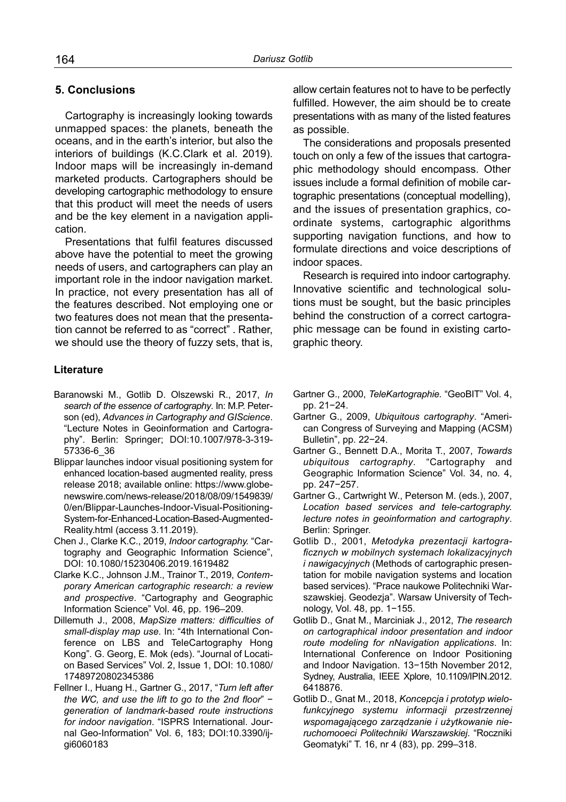# **5. Conclusions**

Cartography is increasingly looking towards unmapped spaces: the planets, beneath the oceans, and in the earth's interior, but also the interiors of buildings (K.C.Clark et al. 2019). Indoor maps will be increasingly in-demand marketed products. Cartographers should be developing cartographic methodology to ensure that this product will meet the needs of users and be the key element in a navigation application.

Presentations that fulfil features discussed above have the potential to meet the growing needs of users, and cartographers can play an important role in the indoor navigation market. In practice, not every presentation has all of the features described. Not employing one or two features does not mean that the presentation cannot be referred to as "correct" . Rather, we should use the theory of fuzzy sets, that is,

#### **Literature**

- Baranowski M., Gotlib D. Olszewski R., 2017, *In search of the essence of cartography*. In: M.P. Peterson (ed), *Advances in Cartography and GIScience*. "Lecture Notes in Geoinformation and Cartography". Berlin: Springer; DOI:10.1007/978-3-319- 57336-6\_36
- Blippar launches indoor visual positioning system for enhanced location-based augmented reality, press release 2018; available online: [https://www.globe](https://www.globenewswire.com/news-)[newswire.com/news-](https://www.globenewswire.com/news-)release/2018/08/09/1549839/ 0/en/Blippar-Launches-Indoor-Visual-Positioning-System-for-Enhanced-Location-Based-Augmented-Reality.html (access 3.11.2019).
- Chen J., Clarke K.C., 2019, *Indoor cartography.* "Cartography and Geographic Information Science", DOI: 10.1080/15230406.2019.1619482
- Clarke K.C., Johnson J.M., Trainor T., 2019, *Contemporary American cartographic research: a review and prospective*. "Cartography and Geographic Information Science" Vol. 46, pp. 196–209.
- Dillemuth J., 2008, *MapSize matters: difficulties of small-display map use.* In: "4th International Conference on LBS and TeleCartography Hong Kong". G. Georg, E. Mok (eds). "Journal of Location Based Services" Vol. 2, Issue 1, DOI: 10.1080/ 17489720802345386
- Fellner I., Huang H., Gartner G., 2017, "*Turn left after the WC, and use the lift to go to the 2nd floor*" − *generation of landmark-based route instructions for indoor navigation*. "ISPRS International. Journal Geo-Information" Vol. 6, 183; DOI:10.3390/ijgi6060183

allow certain features not to have to be perfectly fulfilled. However, the aim should be to create presentations with as many of the listed features as possible.

The considerations and proposals presented touch on only a few of the issues that cartographic methodology should encompass. Other issues include a formal definition of mobile cartographic presentations (conceptual modelling), and the issues of presentation graphics, coordinate systems, cartographic algorithms supporting navigation functions, and how to formulate directions and voice descriptions of indoor spaces.

Research is required into indoor cartography. Innovative scientific and technological solutions must be sought, but the basic principles behind the construction of a correct cartographic message can be found in existing cartographic theory.

- Gartner G., 2000, *TeleKartographie.* "GeoBIT" Vol. 4, pp. 21−24.
- Gartner G., 2009, *Ubiquitous cartography*. "American Congress of Surveying and Mapping (ACSM) Bulletin", pp. 22−24.
- Gartner G., Bennett D.A., Morita T., 2007, *Towards ubiquitous cartography*. "Cartography and Geographic Information Science" Vol. 34, no. 4, pp. 247−257.
- Gartner G., Cartwright W., Peterson M. (eds.), 2007, *Location based services and tele-cartography. lecture notes in geoinformation and cartography*. Berlin: Springer.
- Gotlib D., 2001, *Metodyka prezentacji kartograficznych w mobilnych systemach lokalizacyjnych i nawigacyjnych* (Methods of cartographic presentation for mobile navigation systems and location based services). "Prace naukowe Politechniki Warszawskiej. Geodezja". Warsaw University of Technology, Vol. 48, pp. 1−155.
- Gotlib D., Gnat M., Marciniak J., 2012, *The research on cartographical indoor presentation and indoor route modeling for nNavigation applications*. In: International Conference on Indoor Positioning and Indoor Navigation. 13−15th November 2012, Sydney, Australia, IEEE Xplore, 10.1109/IPIN.2012. 6418876.
- Gotlib D., Gnat M., 2018, *Koncepcja i prototyp wielofunkcyjnego systemu informacji przestrzennej wspomagającego zarządzanie i użytkowanie nieruchomooeci Politechniki Warszawskiej*. "Roczniki Geomatyki" T. 16, nr 4 (83), pp. 299–318.